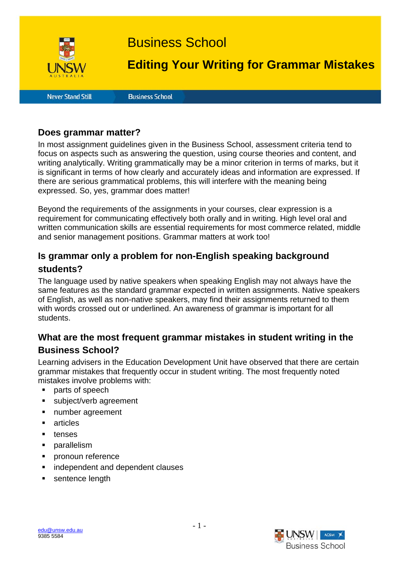

# Business School

# **Editing Your Writing for Grammar Mistakes**

**Never Stand Still** 

**Business School** 

### **Does grammar matter?**

In most assignment guidelines given in the Business School, assessment criteria tend to focus on aspects such as answering the question, using course theories and content, and writing analytically. Writing grammatically may be a minor criterion in terms of marks, but it is significant in terms of how clearly and accurately ideas and information are expressed. If there are serious grammatical problems, this will interfere with the meaning being expressed. So, yes, grammar does matter!

Beyond the requirements of the assignments in your courses, clear expression is a requirement for communicating effectively both orally and in writing. High level oral and written communication skills are essential requirements for most commerce related, middle and senior management positions. Grammar matters at work too!

# **Is grammar only a problem for non-English speaking background students?**

The language used by native speakers when speaking English may not always have the same features as the standard grammar expected in written assignments. Native speakers of English, as well as non-native speakers, may find their assignments returned to them with words crossed out or underlined. An awareness of grammar is important for all students.

# **What are the most frequent grammar mistakes in student writing in the Business School?**

Learning advisers in the Education Development Unit have observed that there are certain grammar mistakes that frequently occur in student writing. The most frequently noted mistakes involve problems with:

- parts of speech
- subject/verb agreement
- **number agreement**
- **articles**
- **u** tenses
- **parallelism**
- **•** pronoun reference
- independent and dependent clauses
- sentence length



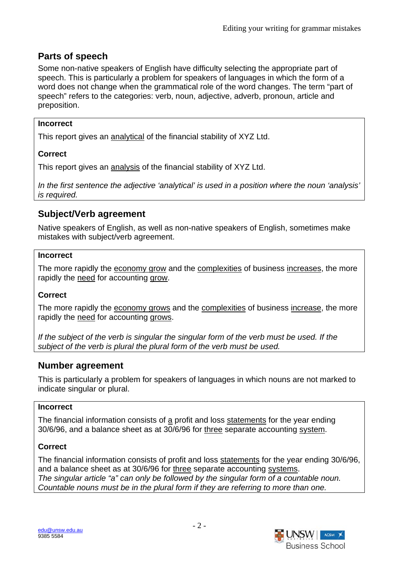# **Parts of speech**

Some non-native speakers of English have difficulty selecting the appropriate part of speech. This is particularly a problem for speakers of languages in which the form of a word does not change when the grammatical role of the word changes. The term "part of speech" refers to the categories: verb, noun, adjective, adverb, pronoun, article and preposition.

#### **Incorrect**

This report gives an analytical of the financial stability of XYZ Ltd.

# **Correct**

This report gives an analysis of the financial stability of XYZ Ltd.

*In the first sentence the adjective 'analytical' is used in a position where the noun 'analysis' is required.* 

# **Subject/Verb agreement**

Native speakers of English, as well as non-native speakers of English, sometimes make mistakes with subject/verb agreement.

#### **Incorrect**

The more rapidly the economy grow and the complexities of business increases, the more rapidly the need for accounting grow.

#### **Correct**

The more rapidly the economy grows and the complexities of business increase, the more rapidly the need for accounting grows.

*If the subject of the verb is singular the singular form of the verb must be used. If the subject of the verb is plural the plural form of the verb must be used.* 

# **Number agreement**

This is particularly a problem for speakers of languages in which nouns are not marked to indicate singular or plural.

#### **Incorrect**

The financial information consists of a profit and loss statements for the year ending 30/6/96, and a balance sheet as at 30/6/96 for three separate accounting system.

# **Correct**

The financial information consists of profit and loss statements for the year ending 30/6/96, and a balance sheet as at 30/6/96 for three separate accounting systems. *The singular article "a" can only be followed by the singular form of a countable noun. Countable nouns must be in the plural form if they are referring to more than one.* 

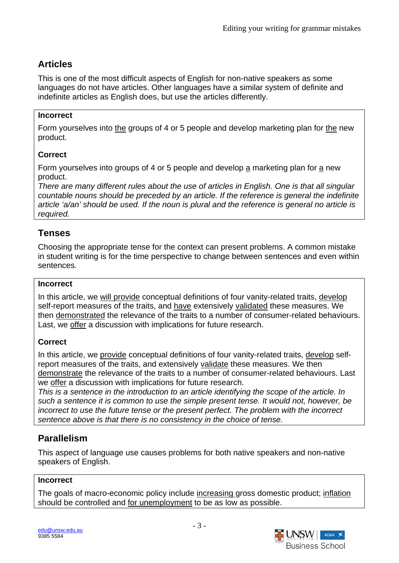# **Articles**

This is one of the most difficult aspects of English for non-native speakers as some languages do not have articles. Other languages have a similar system of definite and indefinite articles as English does, but use the articles differently.

### **Incorrect**

Form yourselves into the groups of 4 or 5 people and develop marketing plan for the new product.

# **Correct**

Form yourselves into groups of 4 or 5 people and develop a marketing plan for a new product.

*There are many different rules about the use of articles in English. One is that all singular countable nouns should be preceded by an article. If the reference is general the indefinite article 'a/an' should be used. If the noun is plural and the reference is general no article is required.* 

# **Tenses**

Choosing the appropriate tense for the context can present problems. A common mistake in student writing is for the time perspective to change between sentences and even within sentences.

#### **Incorrect**

In this article, we will provide conceptual definitions of four vanity-related traits, develop self-report measures of the traits, and have extensively validated these measures. We then demonstrated the relevance of the traits to a number of consumer-related behaviours. Last, we offer a discussion with implications for future research.

# **Correct**

In this article, we provide conceptual definitions of four vanity-related traits, develop selfreport measures of the traits, and extensively validate these measures. We then demonstrate the relevance of the traits to a number of consumer-related behaviours. Last we offer a discussion with implications for future research.

*This is a sentence in the introduction to an article identifying the scope of the article. In such a sentence it is common to use the simple present tense. It would not, however, be incorrect to use the future tense or the present perfect. The problem with the incorrect sentence above is that there is no consistency in the choice of tense.* 

# **Parallelism**

This aspect of language use causes problems for both native speakers and non-native speakers of English.

# **Incorrect**

The goals of macro-economic policy include increasing gross domestic product; inflation should be controlled and for unemployment to be as low as possible.

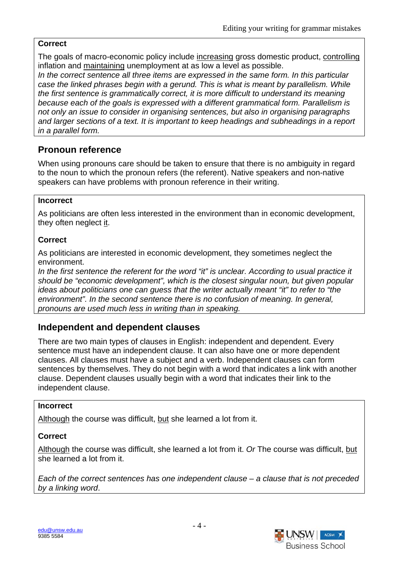### **Correct**

The goals of macro-economic policy include increasing gross domestic product, controlling inflation and maintaining unemployment at as low a level as possible.

*In the correct sentence all three items are expressed in the same form. In this particular case the linked phrases begin with a gerund. This is what is meant by parallelism. While the first sentence is grammatically correct, it is more difficult to understand its meaning because each of the goals is expressed with a different grammatical form. Parallelism is not only an issue to consider in organising sentences, but also in organising paragraphs and larger sections of a text. It is important to keep headings and subheadings in a report in a parallel form.* 

# **Pronoun reference**

When using pronouns care should be taken to ensure that there is no ambiguity in regard to the noun to which the pronoun refers (the referent). Native speakers and non-native speakers can have problems with pronoun reference in their writing.

#### **Incorrect**

As politicians are often less interested in the environment than in economic development, they often neglect it.

# **Correct**

As politicians are interested in economic development, they sometimes neglect the environment.

*In the first sentence the referent for the word "it" is unclear. According to usual practice it should be "economic development", which is the closest singular noun, but given popular ideas about politicians one can guess that the writer actually meant "it" to refer to "the environment". In the second sentence there is no confusion of meaning. In general, pronouns are used much less in writing than in speaking.* 

# **Independent and dependent clauses**

There are two main types of clauses in English: independent and dependent. Every sentence must have an independent clause. It can also have one or more dependent clauses. All clauses must have a subject and a verb. Independent clauses can form sentences by themselves. They do not begin with a word that indicates a link with another clause. Dependent clauses usually begin with a word that indicates their link to the independent clause.

#### **Incorrect**

Although the course was difficult, but she learned a lot from it.

# **Correct**

Although the course was difficult, she learned a lot from it. *Or* The course was difficult, but she learned a lot from it.

*Each of the correct sentences has one independent clause – a clause that is not preceded by a linking word*.